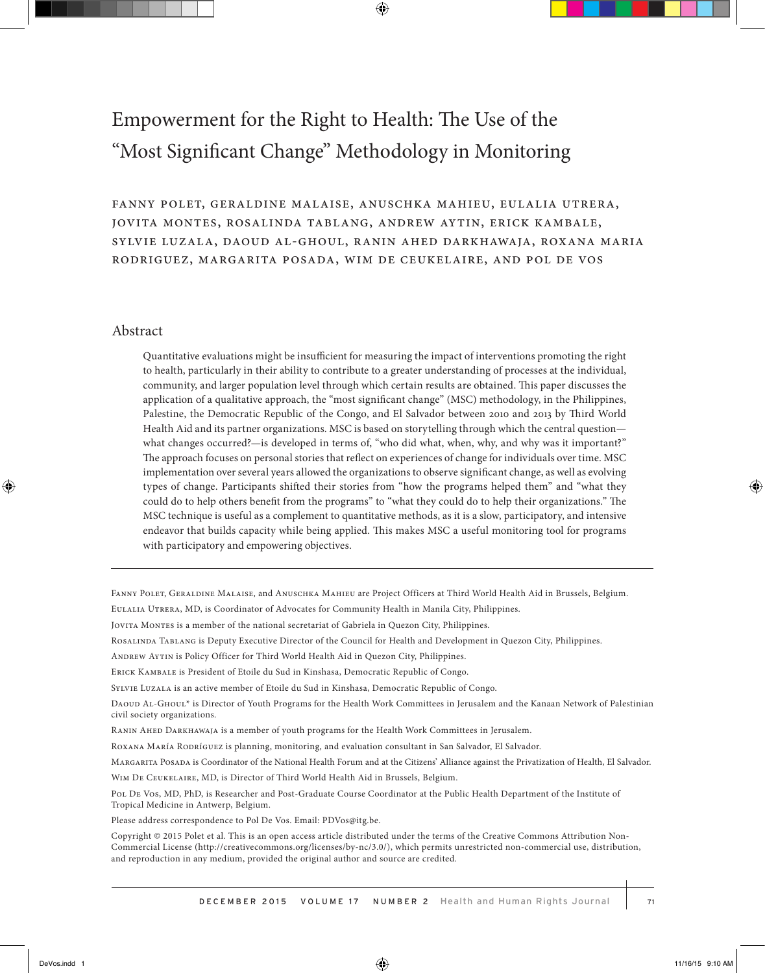# Empowerment for the Right to Health: The Use of the "Most Significant Change" Methodology in Monitoring

fanny polet, geraldine malaise, anuschka mahieu, eulalia utrera, jovita montes, rosalinda tablang, andrew aytin, erick kambale, sylvie luzala, daoud al-ghoul, ranin ahed darkhawaja, roxana maria rodriguez, margarita posada, wim de ceukelaire, and pol de vos

#### Abstract

Quantitative evaluations might be insufficient for measuring the impact of interventions promoting the right to health, particularly in their ability to contribute to a greater understanding of processes at the individual, community, and larger population level through which certain results are obtained. This paper discusses the application of a qualitative approach, the "most significant change" (MSC) methodology, in the Philippines, Palestine, the Democratic Republic of the Congo, and El Salvador between 2010 and 2013 by Third World Health Aid and its partner organizations. MSC is based on storytelling through which the central question what changes occurred?—is developed in terms of, "who did what, when, why, and why was it important?" The approach focuses on personal stories that reflect on experiences of change for individuals over time. MSC implementation over several years allowed the organizations to observe significant change, as well as evolving types of change. Participants shifted their stories from "how the programs helped them" and "what they could do to help others benefit from the programs" to "what they could do to help their organizations." The MSC technique is useful as a complement to quantitative methods, as it is a slow, participatory, and intensive endeavor that builds capacity while being applied. This makes MSC a useful monitoring tool for programs with participatory and empowering objectives.

Fanny Polet, Geraldine Malaise, and Anuschka Mahieu are Project Officers at Third World Health Aid in Brussels, Belgium.

Eulalia Utrera, MD, is Coordinator of Advocates for Community Health in Manila City, Philippines.

Jovita Montes is a member of the national secretariat of Gabriela in Quezon City, Philippines.

Rosalinda Tablang is Deputy Executive Director of the Council for Health and Development in Quezon City, Philippines.

Andrew Aytin is Policy Officer for Third World Health Aid in Quezon City, Philippines.

Erick Kambale is President of Etoile du Sud in Kinshasa, Democratic Republic of Congo.

Sylvie Luzala is an active member of Etoile du Sud in Kinshasa, Democratic Republic of Congo.

DAOUD AL-GHOUL<sup>\*</sup> is Director of Youth Programs for the Health Work Committees in Jerusalem and the Kanaan Network of Palestinian civil society organizations.

Ranin Ahed Darkhawaja is a member of youth programs for the Health Work Committees in Jerusalem.

ROXANA MARÍA RODRÍGUEZ is planning, monitoring, and evaluation consultant in San Salvador, El Salvador.

Margarita Posada is Coordinator of the National Health Forum and at the Citizens' Alliance against the Privatization of Health, El Salvador.

Wim De Ceukelaire, MD, is Director of Third World Health Aid in Brussels, Belgium.

Pol De Vos, MD, PhD, is Researcher and Post-Graduate Course Coordinator at the Public Health Department of the Institute of Tropical Medicine in Antwerp, Belgium.

Please address correspondence to Pol De Vos. Email: PDVos@itg.be.

Copyright © 2015 Polet et al. This is an open access article distributed under the terms of the Creative Commons Attribution Non-Commercial License (http://creativecommons.org/licenses/by-nc/3.0/), which permits unrestricted non-commercial use, distribution, and reproduction in any medium, provided the original author and source are credited.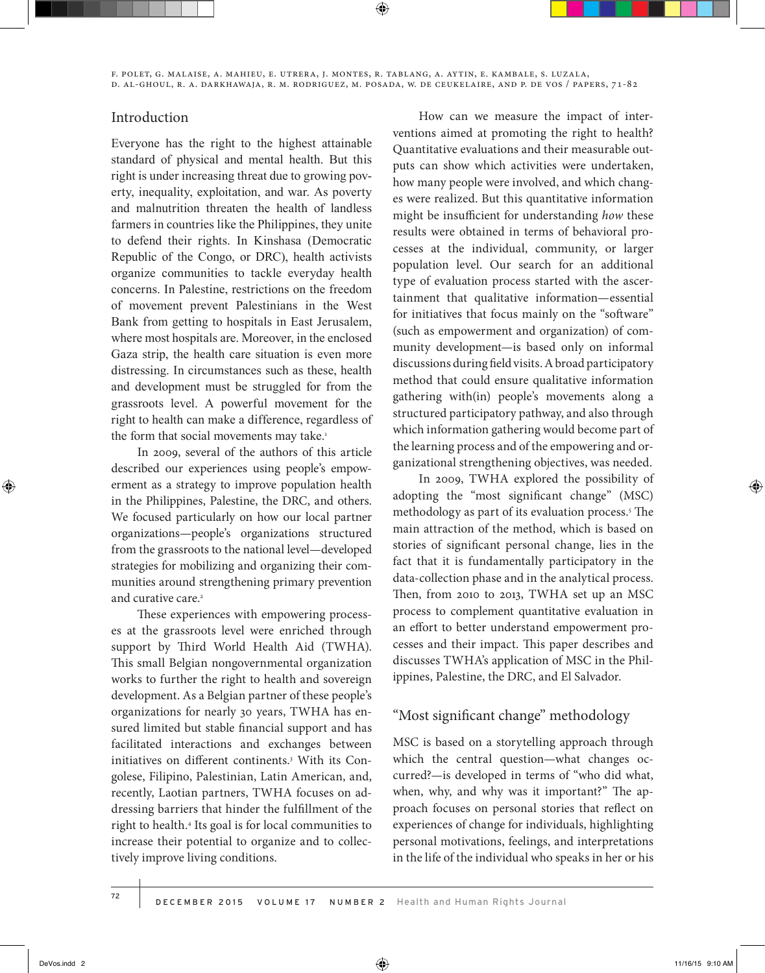f. polet, g. malaise, a. mahieu, e. utrera, j. montes, r. tablang, a. aytin, e. kambale, s. luzala, d. al-ghoul, r. a. darkhawaja, r. m. rodriguez, m. posada, w. de ceukelaire, and p. de vos / papers, 71-82

#### Introduction

Everyone has the right to the highest attainable standard of physical and mental health. But this right is under increasing threat due to growing poverty, inequality, exploitation, and war. As poverty and malnutrition threaten the health of landless farmers in countries like the Philippines, they unite to defend their rights. In Kinshasa (Democratic Republic of the Congo, or DRC), health activists organize communities to tackle everyday health concerns. In Palestine, restrictions on the freedom of movement prevent Palestinians in the West Bank from getting to hospitals in East Jerusalem, where most hospitals are. Moreover, in the enclosed Gaza strip, the health care situation is even more distressing. In circumstances such as these, health and development must be struggled for from the grassroots level. A powerful movement for the right to health can make a difference, regardless of the form that social movements may take.<sup>1</sup>

In 2009, several of the authors of this article described our experiences using people's empowerment as a strategy to improve population health in the Philippines, Palestine, the DRC, and others. We focused particularly on how our local partner organizations—people's organizations structured from the grassroots to the national level—developed strategies for mobilizing and organizing their communities around strengthening primary prevention and curative care.<sup>2</sup>

These experiences with empowering processes at the grassroots level were enriched through support by Third World Health Aid (TWHA). This small Belgian nongovernmental organization works to further the right to health and sovereign development. As a Belgian partner of these people's organizations for nearly 30 years, TWHA has ensured limited but stable financial support and has facilitated interactions and exchanges between initiatives on different continents.3 With its Congolese, Filipino, Palestinian, Latin American, and, recently, Laotian partners, TWHA focuses on addressing barriers that hinder the fulfillment of the right to health.4 Its goal is for local communities to increase their potential to organize and to collectively improve living conditions.

How can we measure the impact of interventions aimed at promoting the right to health? Quantitative evaluations and their measurable outputs can show which activities were undertaken, how many people were involved, and which changes were realized. But this quantitative information might be insufficient for understanding *how* these results were obtained in terms of behavioral processes at the individual, community, or larger population level. Our search for an additional type of evaluation process started with the ascertainment that qualitative information—essential for initiatives that focus mainly on the "software" (such as empowerment and organization) of community development—is based only on informal discussions during field visits. A broad participatory method that could ensure qualitative information gathering with(in) people's movements along a structured participatory pathway, and also through which information gathering would become part of the learning process and of the empowering and organizational strengthening objectives, was needed.

In 2009, TWHA explored the possibility of adopting the "most significant change" (MSC) methodology as part of its evaluation process.5 The main attraction of the method, which is based on stories of significant personal change, lies in the fact that it is fundamentally participatory in the data-collection phase and in the analytical process. Then, from 2010 to 2013, TWHA set up an MSC process to complement quantitative evaluation in an effort to better understand empowerment processes and their impact. This paper describes and discusses TWHA's application of MSC in the Philippines, Palestine, the DRC, and El Salvador.

# "Most significant change" methodology

MSC is based on a storytelling approach through which the central question—what changes occurred?—is developed in terms of "who did what, when, why, and why was it important?" The approach focuses on personal stories that reflect on experiences of change for individuals, highlighting personal motivations, feelings, and interpretations in the life of the individual who speaks in her or his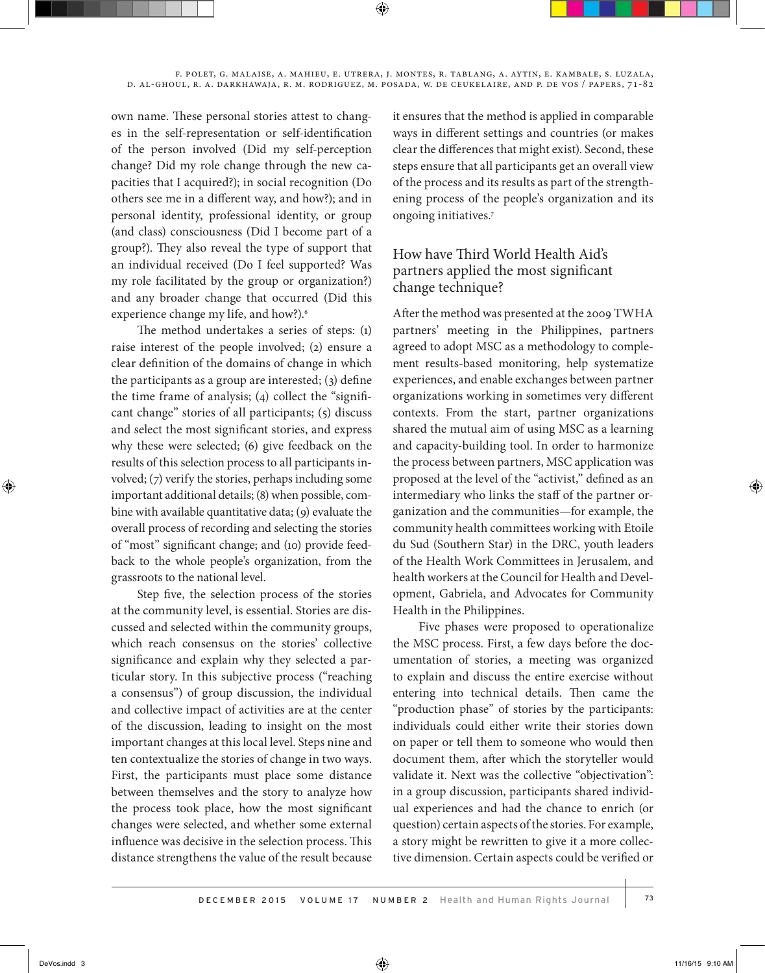own name. These personal stories attest to changes in the self-representation or self-identification of the person involved (Did my self-perception change? Did my role change through the new capacities that I acquired?); in social recognition (Do others see me in a different way, and how?); and in personal identity, professional identity, or group (and class) consciousness (Did I become part of a group?). They also reveal the type of support that an individual received (Do I feel supported? Was my role facilitated by the group or organization?) and any broader change that occurred (Did this experience change my life, and how?).<sup>6</sup>

The method undertakes a series of steps: (1) raise interest of the people involved; (2) ensure a clear definition of the domains of change in which the participants as a group are interested; (3) define the time frame of analysis; (4) collect the "significant change" stories of all participants; (5) discuss and select the most significant stories, and express why these were selected; (6) give feedback on the results of this selection process to all participants involved; (7) verify the stories, perhaps including some important additional details; (8) when possible, combine with available quantitative data; (9) evaluate the overall process of recording and selecting the stories of "most" significant change; and (10) provide feedback to the whole people's organization, from the grassroots to the national level.

Step five, the selection process of the stories at the community level, is essential. Stories are discussed and selected within the community groups, which reach consensus on the stories' collective significance and explain why they selected a particular story. In this subjective process ("reaching a consensus") of group discussion, the individual and collective impact of activities are at the center of the discussion, leading to insight on the most important changes at this local level. Steps nine and ten contextualize the stories of change in two ways. First, the participants must place some distance between themselves and the story to analyze how the process took place, how the most significant changes were selected, and whether some external influence was decisive in the selection process. This distance strengthens the value of the result because

it ensures that the method is applied in comparable ways in different settings and countries (or makes clear the differences that might exist). Second, these steps ensure that all participants get an overall view of the process and its results as part of the strengthening process of the people's organization and its ongoing initiatives.7

# How have Third World Health Aid's partners applied the most significant change technique?

After the method was presented at the 2009 TWHA partners' meeting in the Philippines, partners agreed to adopt MSC as a methodology to complement results-based monitoring, help systematize experiences, and enable exchanges between partner organizations working in sometimes very different contexts. From the start, partner organizations shared the mutual aim of using MSC as a learning and capacity-building tool. In order to harmonize the process between partners, MSC application was proposed at the level of the "activist," defined as an intermediary who links the staff of the partner organization and the communities—for example, the community health committees working with Etoile du Sud (Southern Star) in the DRC, youth leaders of the Health Work Committees in Jerusalem, and health workers at the Council for Health and Development, Gabriela, and Advocates for Community Health in the Philippines.

Five phases were proposed to operationalize the MSC process. First, a few days before the documentation of stories, a meeting was organized to explain and discuss the entire exercise without entering into technical details. Then came the "production phase" of stories by the participants: individuals could either write their stories down on paper or tell them to someone who would then document them, after which the storyteller would validate it. Next was the collective "objectivation": in a group discussion, participants shared individual experiences and had the chance to enrich (or question) certain aspects of the stories. For example, a story might be rewritten to give it a more collective dimension. Certain aspects could be verified or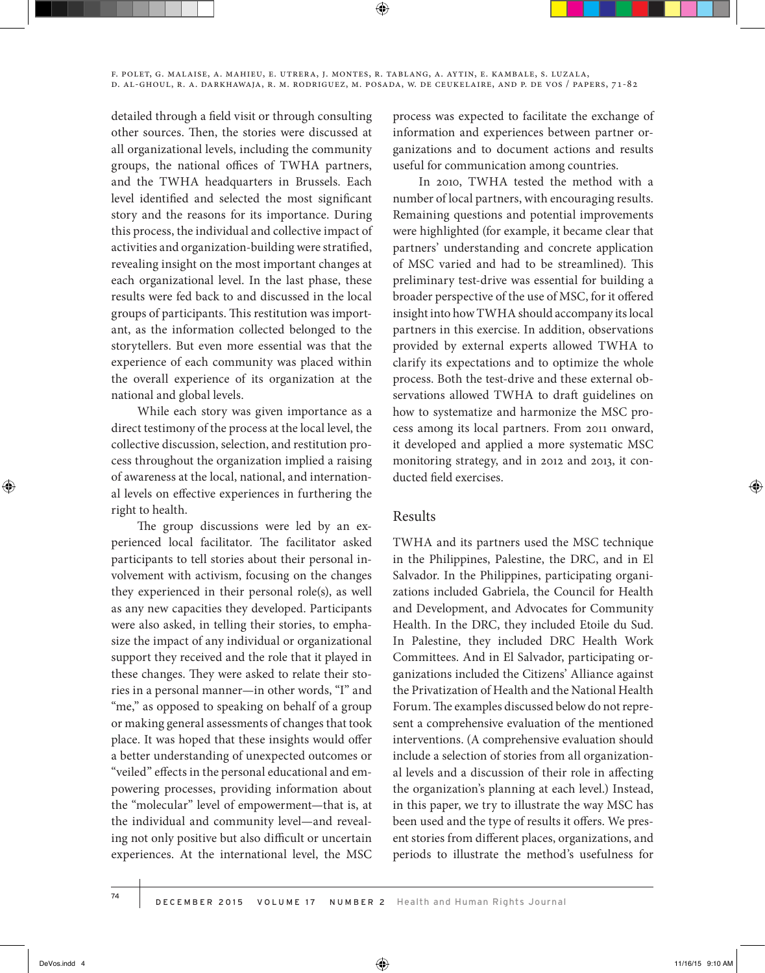detailed through a field visit or through consulting other sources. Then, the stories were discussed at all organizational levels, including the community groups, the national offices of TWHA partners, and the TWHA headquarters in Brussels. Each level identified and selected the most significant story and the reasons for its importance. During this process, the individual and collective impact of activities and organization-building were stratified, revealing insight on the most important changes at each organizational level. In the last phase, these results were fed back to and discussed in the local groups of participants. This restitution was important, as the information collected belonged to the storytellers. But even more essential was that the experience of each community was placed within the overall experience of its organization at the national and global levels.

While each story was given importance as a direct testimony of the process at the local level, the collective discussion, selection, and restitution process throughout the organization implied a raising of awareness at the local, national, and international levels on effective experiences in furthering the right to health.

The group discussions were led by an experienced local facilitator. The facilitator asked participants to tell stories about their personal involvement with activism, focusing on the changes they experienced in their personal role(s), as well as any new capacities they developed. Participants were also asked, in telling their stories, to emphasize the impact of any individual or organizational support they received and the role that it played in these changes. They were asked to relate their stories in a personal manner—in other words, "I" and "me," as opposed to speaking on behalf of a group or making general assessments of changes that took place. It was hoped that these insights would offer a better understanding of unexpected outcomes or "veiled" effects in the personal educational and empowering processes, providing information about the "molecular" level of empowerment—that is, at the individual and community level—and revealing not only positive but also difficult or uncertain experiences. At the international level, the MSC

process was expected to facilitate the exchange of information and experiences between partner organizations and to document actions and results useful for communication among countries.

In 2010, TWHA tested the method with a number of local partners, with encouraging results. Remaining questions and potential improvements were highlighted (for example, it became clear that partners' understanding and concrete application of MSC varied and had to be streamlined). This preliminary test-drive was essential for building a broader perspective of the use of MSC, for it offered insight into how TWHA should accompany its local partners in this exercise. In addition, observations provided by external experts allowed TWHA to clarify its expectations and to optimize the whole process. Both the test-drive and these external observations allowed TWHA to draft guidelines on how to systematize and harmonize the MSC process among its local partners. From 2011 onward, it developed and applied a more systematic MSC monitoring strategy, and in 2012 and 2013, it conducted field exercises.

## Results

TWHA and its partners used the MSC technique in the Philippines, Palestine, the DRC, and in El Salvador. In the Philippines, participating organizations included Gabriela, the Council for Health and Development, and Advocates for Community Health. In the DRC, they included Etoile du Sud. In Palestine, they included DRC Health Work Committees. And in El Salvador, participating organizations included the Citizens' Alliance against the Privatization of Health and the National Health Forum. The examples discussed below do not represent a comprehensive evaluation of the mentioned interventions. (A comprehensive evaluation should include a selection of stories from all organizational levels and a discussion of their role in affecting the organization's planning at each level.) Instead, in this paper, we try to illustrate the way MSC has been used and the type of results it offers. We present stories from different places, organizations, and periods to illustrate the method's usefulness for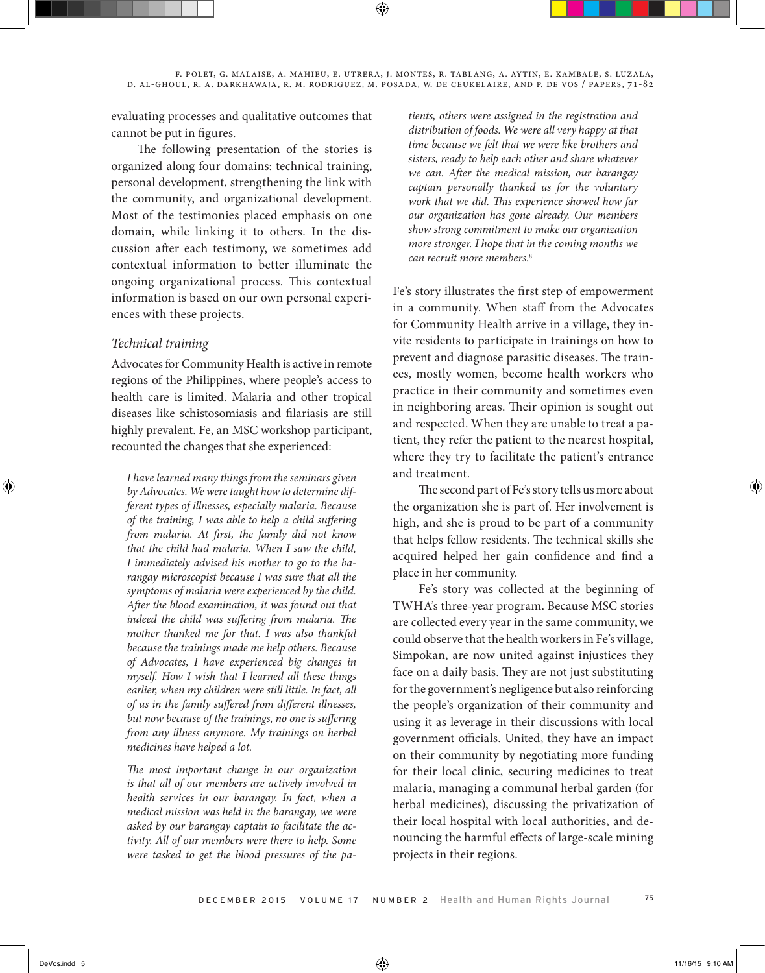evaluating processes and qualitative outcomes that cannot be put in figures.

The following presentation of the stories is organized along four domains: technical training, personal development, strengthening the link with the community, and organizational development. Most of the testimonies placed emphasis on one domain, while linking it to others. In the discussion after each testimony, we sometimes add contextual information to better illuminate the ongoing organizational process. This contextual information is based on our own personal experiences with these projects.

## *Technical training*

Advocates for Community Health is active in remote regions of the Philippines, where people's access to health care is limited. Malaria and other tropical diseases like schistosomiasis and filariasis are still highly prevalent. Fe, an MSC workshop participant, recounted the changes that she experienced:

*I have learned many things from the seminars given by Advocates. We were taught how to determine different types of illnesses, especially malaria. Because of the training, I was able to help a child suffering from malaria. At first, the family did not know that the child had malaria. When I saw the child, I immediately advised his mother to go to the barangay microscopist because I was sure that all the symptoms of malaria were experienced by the child. After the blood examination, it was found out that indeed the child was suffering from malaria. The mother thanked me for that. I was also thankful because the trainings made me help others. Because of Advocates, I have experienced big changes in myself. How I wish that I learned all these things earlier, when my children were still little. In fact, all of us in the family suffered from different illnesses, but now because of the trainings, no one is suffering from any illness anymore. My trainings on herbal medicines have helped a lot.*

*The most important change in our organization is that all of our members are actively involved in health services in our barangay. In fact, when a medical mission was held in the barangay, we were asked by our barangay captain to facilitate the activity. All of our members were there to help. Some were tasked to get the blood pressures of the pa-* *tients, others were assigned in the registration and distribution of foods. We were all very happy at that time because we felt that we were like brothers and sisters, ready to help each other and share whatever we can. After the medical mission, our barangay captain personally thanked us for the voluntary work that we did. This experience showed how far our organization has gone already. Our members show strong commitment to make our organization more stronger. I hope that in the coming months we can recruit more members*. 8

Fe's story illustrates the first step of empowerment in a community. When staff from the Advocates for Community Health arrive in a village, they invite residents to participate in trainings on how to prevent and diagnose parasitic diseases. The trainees, mostly women, become health workers who practice in their community and sometimes even in neighboring areas. Their opinion is sought out and respected. When they are unable to treat a patient, they refer the patient to the nearest hospital, where they try to facilitate the patient's entrance and treatment.

The second part of Fe's story tells us more about the organization she is part of. Her involvement is high, and she is proud to be part of a community that helps fellow residents. The technical skills she acquired helped her gain confidence and find a place in her community.

Fe's story was collected at the beginning of TWHA's three-year program. Because MSC stories are collected every year in the same community, we could observe that the health workers in Fe's village, Simpokan, are now united against injustices they face on a daily basis. They are not just substituting for the government's negligence but also reinforcing the people's organization of their community and using it as leverage in their discussions with local government officials. United, they have an impact on their community by negotiating more funding for their local clinic, securing medicines to treat malaria, managing a communal herbal garden (for herbal medicines), discussing the privatization of their local hospital with local authorities, and denouncing the harmful effects of large-scale mining projects in their regions.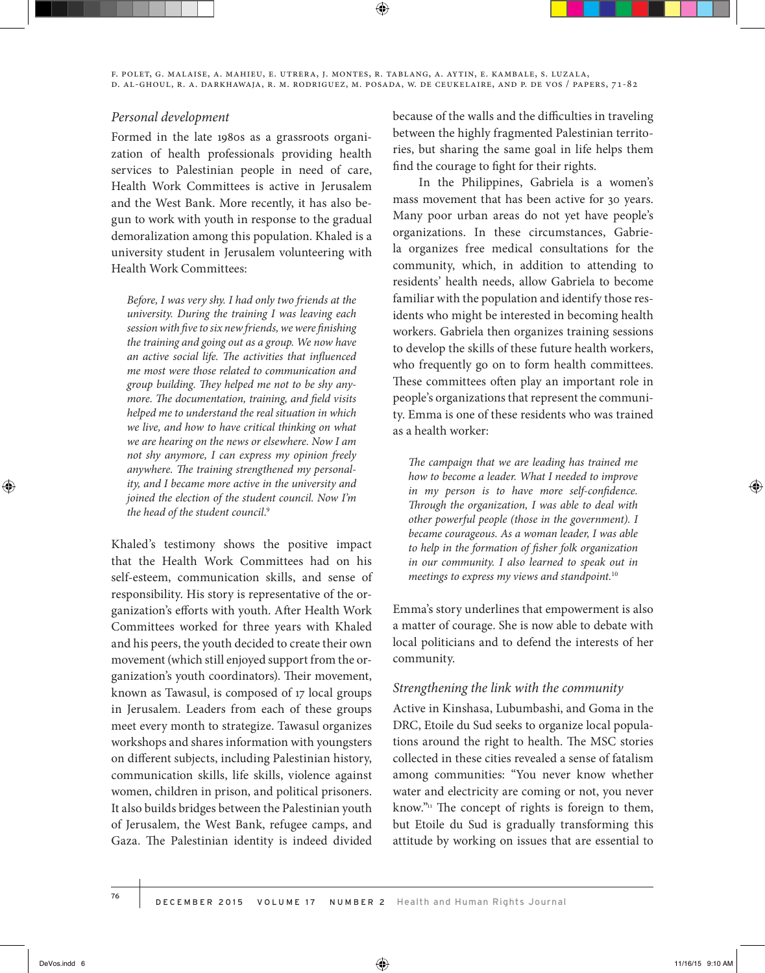f. polet, g. malaise, a. mahieu, e. utrera, j. montes, r. tablang, a. aytin, e. kambale, s. luzala, d. al-ghoul, r. a. darkhawaja, r. m. rodriguez, m. posada, w. de ceukelaire, and p. de vos / papers, 71-82

#### *Personal development*

Formed in the late 1980s as a grassroots organization of health professionals providing health services to Palestinian people in need of care, Health Work Committees is active in Jerusalem and the West Bank. More recently, it has also begun to work with youth in response to the gradual demoralization among this population. Khaled is a university student in Jerusalem volunteering with Health Work Committees:

*Before, I was very shy. I had only two friends at the university. During the training I was leaving each session with five to six new friends, we were finishing the training and going out as a group. We now have an active social life. The activities that influenced me most were those related to communication and group building. They helped me not to be shy anymore. The documentation, training, and field visits helped me to understand the real situation in which we live, and how to have critical thinking on what we are hearing on the news or elsewhere. Now I am not shy anymore, I can express my opinion freely anywhere. The training strengthened my personality, and I became more active in the university and joined the election of the student council. Now I'm the head of the student council*. 9

Khaled's testimony shows the positive impact that the Health Work Committees had on his self-esteem, communication skills, and sense of responsibility. His story is representative of the organization's efforts with youth. After Health Work Committees worked for three years with Khaled and his peers, the youth decided to create their own movement (which still enjoyed support from the organization's youth coordinators). Their movement, known as Tawasul, is composed of 17 local groups in Jerusalem. Leaders from each of these groups meet every month to strategize. Tawasul organizes workshops and shares information with youngsters on different subjects, including Palestinian history, communication skills, life skills, violence against women, children in prison, and political prisoners. It also builds bridges between the Palestinian youth of Jerusalem, the West Bank, refugee camps, and Gaza. The Palestinian identity is indeed divided

because of the walls and the difficulties in traveling between the highly fragmented Palestinian territories, but sharing the same goal in life helps them find the courage to fight for their rights.

In the Philippines, Gabriela is a women's mass movement that has been active for 30 years. Many poor urban areas do not yet have people's organizations. In these circumstances, Gabriela organizes free medical consultations for the community, which, in addition to attending to residents' health needs, allow Gabriela to become familiar with the population and identify those residents who might be interested in becoming health workers. Gabriela then organizes training sessions to develop the skills of these future health workers, who frequently go on to form health committees. These committees often play an important role in people's organizations that represent the community. Emma is one of these residents who was trained as a health worker:

*The campaign that we are leading has trained me how to become a leader. What I needed to improve in my person is to have more self-confidence. Through the organization, I was able to deal with other powerful people (those in the government). I became courageous. As a woman leader, I was able to help in the formation of fisher folk organization in our community. I also learned to speak out in meetings to express my views and standpoint.*<sup>10</sup>

Emma's story underlines that empowerment is also a matter of courage. She is now able to debate with local politicians and to defend the interests of her community.

#### *Strengthening the link with the community*

Active in Kinshasa, Lubumbashi, and Goma in the DRC, Etoile du Sud seeks to organize local populations around the right to health. The MSC stories collected in these cities revealed a sense of fatalism among communities: "You never know whether water and electricity are coming or not, you never know." $n_1$  The concept of rights is foreign to them, but Etoile du Sud is gradually transforming this attitude by working on issues that are essential to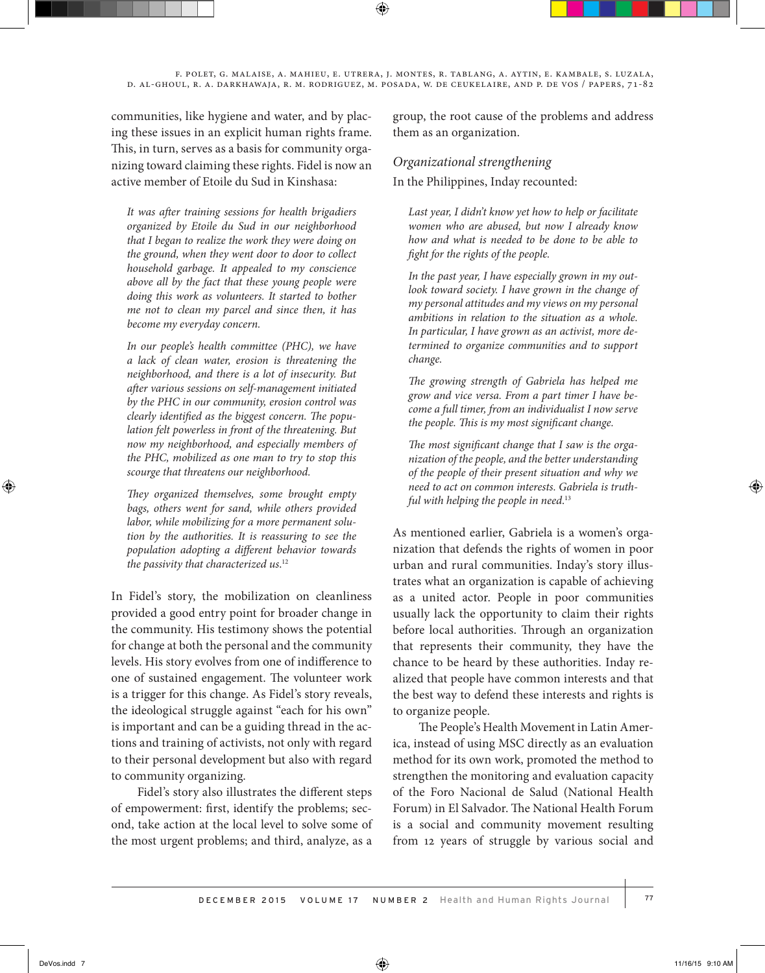communities, like hygiene and water, and by placing these issues in an explicit human rights frame. This, in turn, serves as a basis for community organizing toward claiming these rights. Fidel is now an active member of Etoile du Sud in Kinshasa:

*It was after training sessions for health brigadiers organized by Etoile du Sud in our neighborhood that I began to realize the work they were doing on the ground, when they went door to door to collect household garbage. It appealed to my conscience above all by the fact that these young people were doing this work as volunteers. It started to bother me not to clean my parcel and since then, it has become my everyday concern.* 

*In our people's health committee (PHC), we have a lack of clean water, erosion is threatening the neighborhood, and there is a lot of insecurity. But after various sessions on self-management initiated by the PHC in our community, erosion control was clearly identified as the biggest concern. The population felt powerless in front of the threatening. But now my neighborhood, and especially members of the PHC, mobilized as one man to try to stop this scourge that threatens our neighborhood.*

*They organized themselves, some brought empty bags, others went for sand, while others provided labor, while mobilizing for a more permanent solution by the authorities. It is reassuring to see the population adopting a different behavior towards the passivity that characterized us*. 12

In Fidel's story, the mobilization on cleanliness provided a good entry point for broader change in the community. His testimony shows the potential for change at both the personal and the community levels. His story evolves from one of indifference to one of sustained engagement. The volunteer work is a trigger for this change. As Fidel's story reveals, the ideological struggle against "each for his own" is important and can be a guiding thread in the actions and training of activists, not only with regard to their personal development but also with regard to community organizing.

Fidel's story also illustrates the different steps of empowerment: first, identify the problems; second, take action at the local level to solve some of the most urgent problems; and third, analyze, as a

group, the root cause of the problems and address them as an organization.

#### *Organizational strengthening*

In the Philippines, Inday recounted:

*Last year, I didn't know yet how to help or facilitate women who are abused, but now I already know how and what is needed to be done to be able to fight for the rights of the people.*

*In the past year, I have especially grown in my outlook toward society. I have grown in the change of my personal attitudes and my views on my personal ambitions in relation to the situation as a whole. In particular, I have grown as an activist, more determined to organize communities and to support change.* 

*The growing strength of Gabriela has helped me grow and vice versa. From a part timer I have become a full timer, from an individualist I now serve the people. This is my most significant change.* 

*The most significant change that I saw is the organization of the people, and the better understanding of the people of their present situation and why we need to act on common interests. Gabriela is truthful with helping the people in need*. 13

As mentioned earlier, Gabriela is a women's organization that defends the rights of women in poor urban and rural communities. Inday's story illustrates what an organization is capable of achieving as a united actor. People in poor communities usually lack the opportunity to claim their rights before local authorities. Through an organization that represents their community, they have the chance to be heard by these authorities. Inday realized that people have common interests and that the best way to defend these interests and rights is to organize people.

The People's Health Movement in Latin America, instead of using MSC directly as an evaluation method for its own work, promoted the method to strengthen the monitoring and evaluation capacity of the Foro Nacional de Salud (National Health Forum) in El Salvador. The National Health Forum is a social and community movement resulting from 12 years of struggle by various social and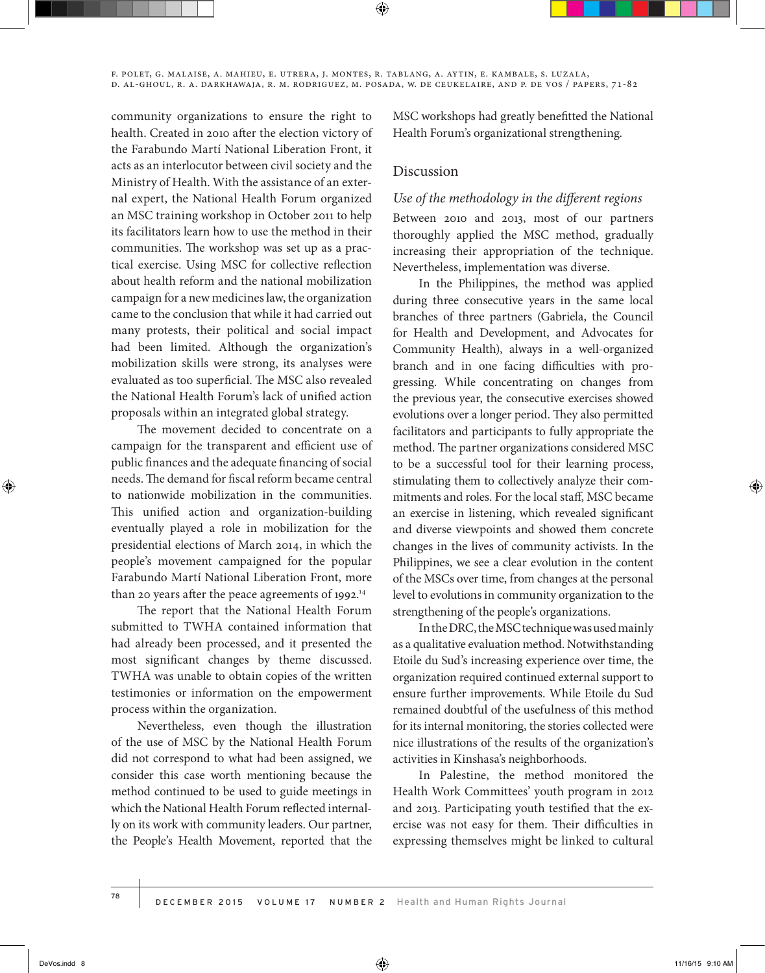community organizations to ensure the right to health. Created in 2010 after the election victory of the Farabundo Martí National Liberation Front, it acts as an interlocutor between civil society and the Ministry of Health. With the assistance of an external expert, the National Health Forum organized an MSC training workshop in October 2011 to help its facilitators learn how to use the method in their communities. The workshop was set up as a practical exercise. Using MSC for collective reflection about health reform and the national mobilization campaign for a new medicines law, the organization came to the conclusion that while it had carried out many protests, their political and social impact had been limited. Although the organization's mobilization skills were strong, its analyses were evaluated as too superficial. The MSC also revealed the National Health Forum's lack of unified action proposals within an integrated global strategy.

The movement decided to concentrate on a campaign for the transparent and efficient use of public finances and the adequate financing of social needs. The demand for fiscal reform became central to nationwide mobilization in the communities. This unified action and organization-building eventually played a role in mobilization for the presidential elections of March 2014, in which the people's movement campaigned for the popular Farabundo Martí National Liberation Front, more than 20 years after the peace agreements of 1992.<sup>14</sup>

The report that the National Health Forum submitted to TWHA contained information that had already been processed, and it presented the most significant changes by theme discussed. TWHA was unable to obtain copies of the written testimonies or information on the empowerment process within the organization.

Nevertheless, even though the illustration of the use of MSC by the National Health Forum did not correspond to what had been assigned, we consider this case worth mentioning because the method continued to be used to guide meetings in which the National Health Forum reflected internally on its work with community leaders. Our partner, the People's Health Movement, reported that the

MSC workshops had greatly benefitted the National Health Forum's organizational strengthening.

## Discussion

#### *Use of the methodology in the different regions*

Between 2010 and 2013, most of our partners thoroughly applied the MSC method, gradually increasing their appropriation of the technique. Nevertheless, implementation was diverse.

In the Philippines, the method was applied during three consecutive years in the same local branches of three partners (Gabriela, the Council for Health and Development, and Advocates for Community Health), always in a well-organized branch and in one facing difficulties with progressing. While concentrating on changes from the previous year, the consecutive exercises showed evolutions over a longer period. They also permitted facilitators and participants to fully appropriate the method. The partner organizations considered MSC to be a successful tool for their learning process, stimulating them to collectively analyze their commitments and roles. For the local staff, MSC became an exercise in listening, which revealed significant and diverse viewpoints and showed them concrete changes in the lives of community activists. In the Philippines, we see a clear evolution in the content of the MSCs over time, from changes at the personal level to evolutions in community organization to the strengthening of the people's organizations.

In the DRC, the MSC technique was used mainly as a qualitative evaluation method. Notwithstanding Etoile du Sud's increasing experience over time, the organization required continued external support to ensure further improvements. While Etoile du Sud remained doubtful of the usefulness of this method for its internal monitoring, the stories collected were nice illustrations of the results of the organization's activities in Kinshasa's neighborhoods.

In Palestine, the method monitored the Health Work Committees' youth program in 2012 and 2013. Participating youth testified that the exercise was not easy for them. Their difficulties in expressing themselves might be linked to cultural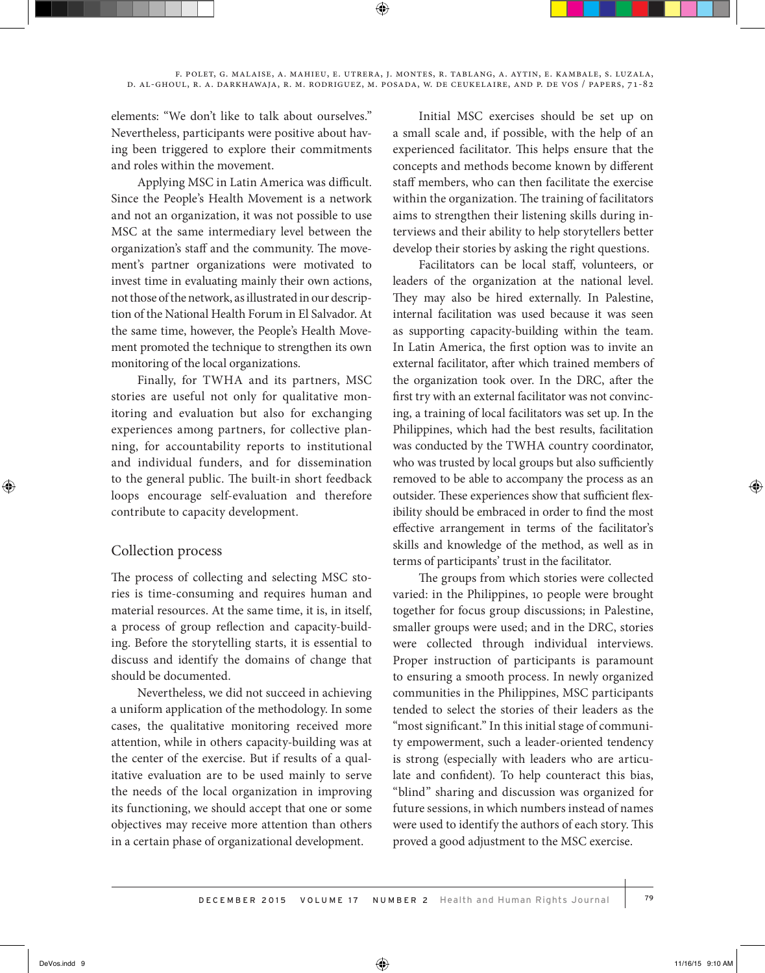elements: "We don't like to talk about ourselves." Nevertheless, participants were positive about having been triggered to explore their commitments and roles within the movement.

Applying MSC in Latin America was difficult. Since the People's Health Movement is a network and not an organization, it was not possible to use MSC at the same intermediary level between the organization's staff and the community. The movement's partner organizations were motivated to invest time in evaluating mainly their own actions, not those of the network, as illustrated in our description of the National Health Forum in El Salvador. At the same time, however, the People's Health Movement promoted the technique to strengthen its own monitoring of the local organizations.

Finally, for TWHA and its partners, MSC stories are useful not only for qualitative monitoring and evaluation but also for exchanging experiences among partners, for collective planning, for accountability reports to institutional and individual funders, and for dissemination to the general public. The built-in short feedback loops encourage self-evaluation and therefore contribute to capacity development.

## Collection process

The process of collecting and selecting MSC stories is time-consuming and requires human and material resources. At the same time, it is, in itself, a process of group reflection and capacity-building. Before the storytelling starts, it is essential to discuss and identify the domains of change that should be documented.

Nevertheless, we did not succeed in achieving a uniform application of the methodology. In some cases, the qualitative monitoring received more attention, while in others capacity-building was at the center of the exercise. But if results of a qualitative evaluation are to be used mainly to serve the needs of the local organization in improving its functioning, we should accept that one or some objectives may receive more attention than others in a certain phase of organizational development.

Initial MSC exercises should be set up on a small scale and, if possible, with the help of an experienced facilitator. This helps ensure that the concepts and methods become known by different staff members, who can then facilitate the exercise within the organization. The training of facilitators aims to strengthen their listening skills during interviews and their ability to help storytellers better develop their stories by asking the right questions.

Facilitators can be local staff, volunteers, or leaders of the organization at the national level. They may also be hired externally. In Palestine, internal facilitation was used because it was seen as supporting capacity-building within the team. In Latin America, the first option was to invite an external facilitator, after which trained members of the organization took over. In the DRC, after the first try with an external facilitator was not convincing, a training of local facilitators was set up. In the Philippines, which had the best results, facilitation was conducted by the TWHA country coordinator, who was trusted by local groups but also sufficiently removed to be able to accompany the process as an outsider. These experiences show that sufficient flexibility should be embraced in order to find the most effective arrangement in terms of the facilitator's skills and knowledge of the method, as well as in terms of participants' trust in the facilitator.

The groups from which stories were collected varied: in the Philippines, 10 people were brought together for focus group discussions; in Palestine, smaller groups were used; and in the DRC, stories were collected through individual interviews. Proper instruction of participants is paramount to ensuring a smooth process. In newly organized communities in the Philippines, MSC participants tended to select the stories of their leaders as the "most significant." In this initial stage of community empowerment, such a leader-oriented tendency is strong (especially with leaders who are articulate and confident). To help counteract this bias, "blind" sharing and discussion was organized for future sessions, in which numbers instead of names were used to identify the authors of each story. This proved a good adjustment to the MSC exercise.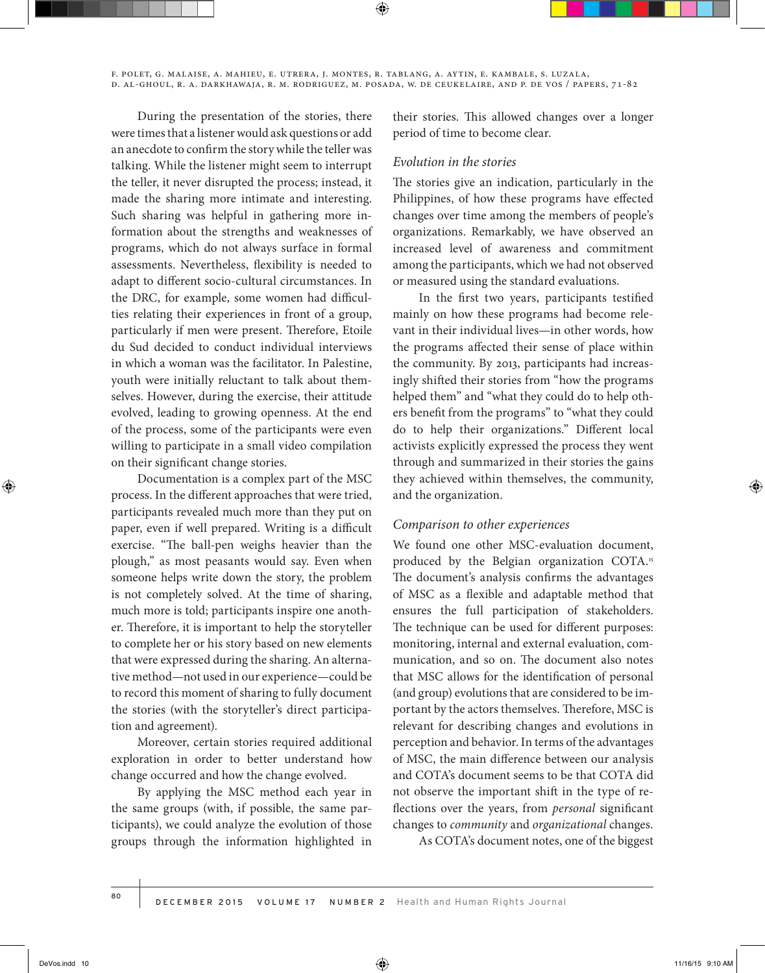During the presentation of the stories, there were times that a listener would ask questions or add an anecdote to confirm the story while the teller was talking. While the listener might seem to interrupt the teller, it never disrupted the process; instead, it made the sharing more intimate and interesting. Such sharing was helpful in gathering more information about the strengths and weaknesses of programs, which do not always surface in formal assessments. Nevertheless, flexibility is needed to adapt to different socio-cultural circumstances. In the DRC, for example, some women had difficulties relating their experiences in front of a group, particularly if men were present. Therefore, Etoile du Sud decided to conduct individual interviews in which a woman was the facilitator. In Palestine, youth were initially reluctant to talk about themselves. However, during the exercise, their attitude evolved, leading to growing openness. At the end of the process, some of the participants were even willing to participate in a small video compilation on their significant change stories.

Documentation is a complex part of the MSC process. In the different approaches that were tried, participants revealed much more than they put on paper, even if well prepared. Writing is a difficult exercise. "The ball-pen weighs heavier than the plough," as most peasants would say. Even when someone helps write down the story, the problem is not completely solved. At the time of sharing, much more is told; participants inspire one another. Therefore, it is important to help the storyteller to complete her or his story based on new elements that were expressed during the sharing. An alternative method—not used in our experience—could be to record this moment of sharing to fully document the stories (with the storyteller's direct participation and agreement).

Moreover, certain stories required additional exploration in order to better understand how change occurred and how the change evolved.

By applying the MSC method each year in the same groups (with, if possible, the same participants), we could analyze the evolution of those groups through the information highlighted in

their stories. This allowed changes over a longer period of time to become clear.

#### *Evolution in the stories*

The stories give an indication, particularly in the Philippines, of how these programs have effected changes over time among the members of people's organizations. Remarkably, we have observed an increased level of awareness and commitment among the participants, which we had not observed or measured using the standard evaluations.

In the first two years, participants testified mainly on how these programs had become relevant in their individual lives—in other words, how the programs affected their sense of place within the community. By 2013, participants had increasingly shifted their stories from "how the programs helped them" and "what they could do to help others benefit from the programs" to "what they could do to help their organizations." Different local activists explicitly expressed the process they went through and summarized in their stories the gains they achieved within themselves, the community, and the organization.

#### *Comparison to other experiences*

We found one other MSC-evaluation document, produced by the Belgian organization COTA.15 The document's analysis confirms the advantages of MSC as a flexible and adaptable method that ensures the full participation of stakeholders. The technique can be used for different purposes: monitoring, internal and external evaluation, communication, and so on. The document also notes that MSC allows for the identification of personal (and group) evolutions that are considered to be important by the actors themselves. Therefore, MSC is relevant for describing changes and evolutions in perception and behavior. In terms of the advantages of MSC, the main difference between our analysis and COTA's document seems to be that COTA did not observe the important shift in the type of reflections over the years, from *personal* significant changes to *community* and *organizational* changes.

As COTA's document notes, one of the biggest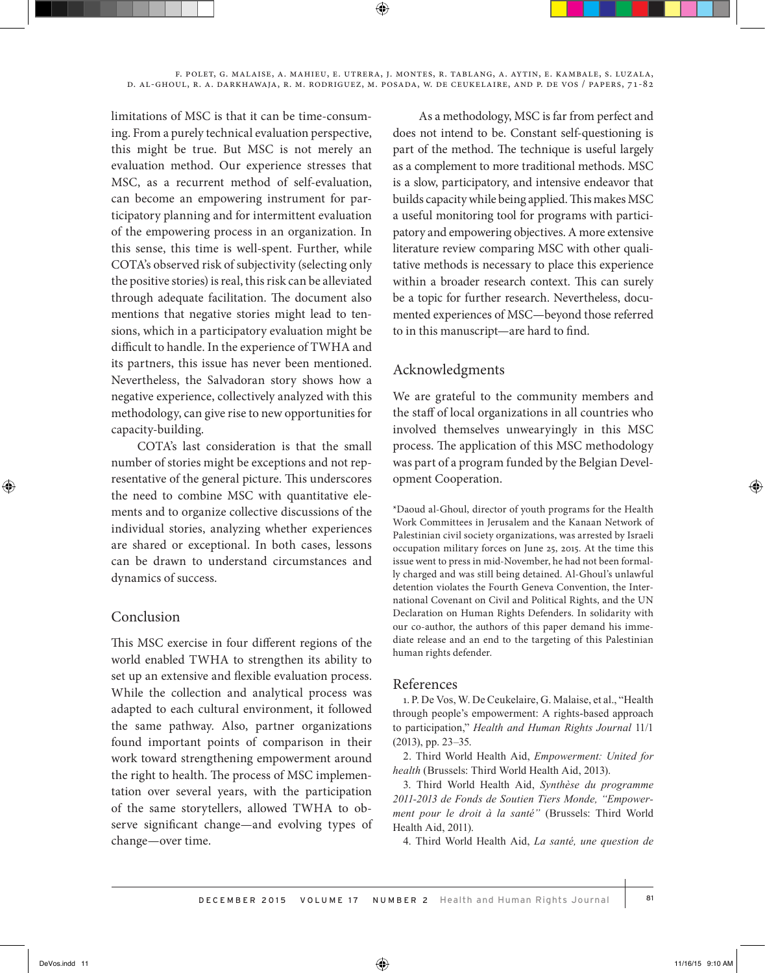limitations of MSC is that it can be time-consuming. From a purely technical evaluation perspective, this might be true. But MSC is not merely an evaluation method. Our experience stresses that MSC, as a recurrent method of self-evaluation, can become an empowering instrument for participatory planning and for intermittent evaluation of the empowering process in an organization. In this sense, this time is well-spent. Further, while COTA's observed risk of subjectivity (selecting only the positive stories) is real, this risk can be alleviated through adequate facilitation. The document also mentions that negative stories might lead to tensions, which in a participatory evaluation might be difficult to handle. In the experience of TWHA and its partners, this issue has never been mentioned. Nevertheless, the Salvadoran story shows how a negative experience, collectively analyzed with this methodology, can give rise to new opportunities for capacity-building.

COTA's last consideration is that the small number of stories might be exceptions and not representative of the general picture. This underscores the need to combine MSC with quantitative elements and to organize collective discussions of the individual stories, analyzing whether experiences are shared or exceptional. In both cases, lessons can be drawn to understand circumstances and dynamics of success.

## Conclusion

This MSC exercise in four different regions of the world enabled TWHA to strengthen its ability to set up an extensive and flexible evaluation process. While the collection and analytical process was adapted to each cultural environment, it followed the same pathway. Also, partner organizations found important points of comparison in their work toward strengthening empowerment around the right to health. The process of MSC implementation over several years, with the participation of the same storytellers, allowed TWHA to observe significant change—and evolving types of change—over time.

As a methodology, MSC is far from perfect and does not intend to be. Constant self-questioning is part of the method. The technique is useful largely as a complement to more traditional methods. MSC is a slow, participatory, and intensive endeavor that builds capacity while being applied. This makes MSC a useful monitoring tool for programs with participatory and empowering objectives. A more extensive literature review comparing MSC with other qualitative methods is necessary to place this experience within a broader research context. This can surely be a topic for further research. Nevertheless, documented experiences of MSC—beyond those referred to in this manuscript—are hard to find.

# Acknowledgments

We are grateful to the community members and the staff of local organizations in all countries who involved themselves unwearyingly in this MSC process. The application of this MSC methodology was part of a program funded by the Belgian Development Cooperation.

\*Daoud al-Ghoul, director of youth programs for the Health Work Committees in Jerusalem and the Kanaan Network of Palestinian civil society organizations, was arrested by Israeli occupation military forces on June 25, 2015. At the time this issue went to press in mid-November, he had not been formally charged and was still being detained. Al-Ghoul's unlawful detention violates the Fourth Geneva Convention, the International Covenant on Civil and Political Rights, and the UN Declaration on Human Rights Defenders. In solidarity with our co-author, the authors of this paper demand his immediate release and an end to the targeting of this Palestinian human rights defender.

## References

1. P. De Vos, W. De Ceukelaire, G. Malaise, et al., "Health through people's empowerment: A rights-based approach to participation," *Health and Human Rights Journal* 11/1 (2013), pp. 23–35.

2. Third World Health Aid, *Empowerment: United for health* (Brussels: Third World Health Aid, 2013).

3. Third World Health Aid, *Synthèse du programme 2011-2013 de Fonds de Soutien Tiers Monde, "Empowerment pour le droit à la santé"* (Brussels: Third World Health Aid, 2011).

4. Third World Health Aid, *La santé, une question de*